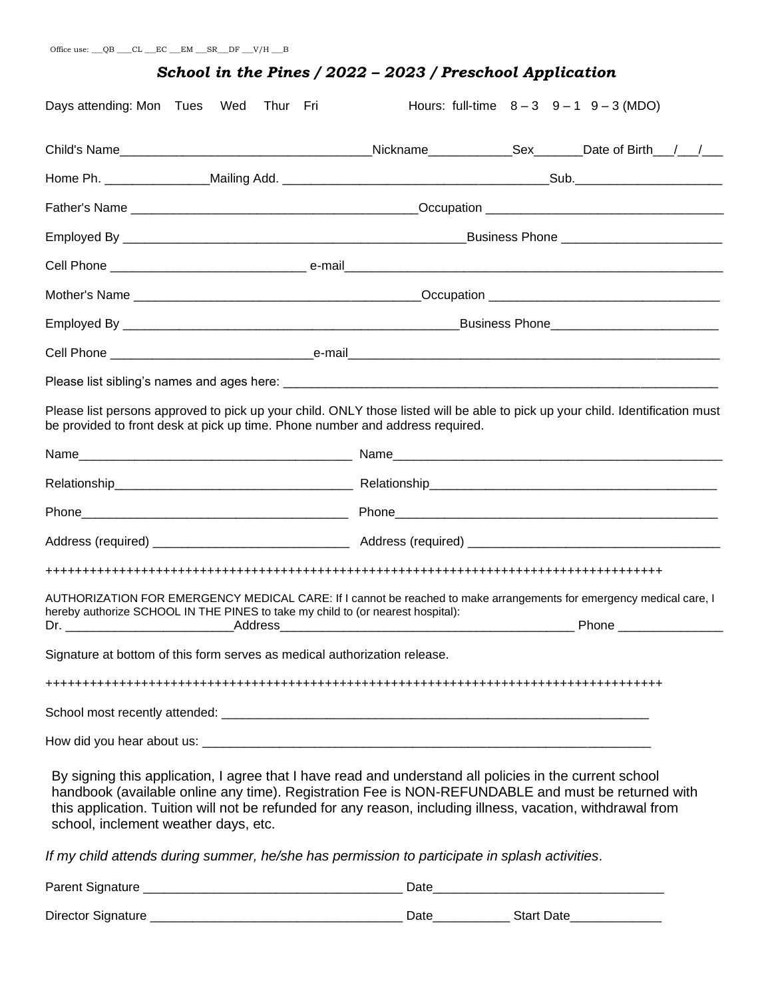#### *School in the Pines / 2022 – 2023 / Preschool Application*

| Days attending: Mon Tues Wed Thur Fri                                                                                                                                                                                                                                                                                                                                |  |  | Hours: full-time $8-3$ $9-1$ $9-3$ (MDO) |  |  |  |  |  |
|----------------------------------------------------------------------------------------------------------------------------------------------------------------------------------------------------------------------------------------------------------------------------------------------------------------------------------------------------------------------|--|--|------------------------------------------|--|--|--|--|--|
|                                                                                                                                                                                                                                                                                                                                                                      |  |  |                                          |  |  |  |  |  |
|                                                                                                                                                                                                                                                                                                                                                                      |  |  |                                          |  |  |  |  |  |
|                                                                                                                                                                                                                                                                                                                                                                      |  |  |                                          |  |  |  |  |  |
|                                                                                                                                                                                                                                                                                                                                                                      |  |  |                                          |  |  |  |  |  |
|                                                                                                                                                                                                                                                                                                                                                                      |  |  |                                          |  |  |  |  |  |
|                                                                                                                                                                                                                                                                                                                                                                      |  |  |                                          |  |  |  |  |  |
|                                                                                                                                                                                                                                                                                                                                                                      |  |  |                                          |  |  |  |  |  |
|                                                                                                                                                                                                                                                                                                                                                                      |  |  |                                          |  |  |  |  |  |
|                                                                                                                                                                                                                                                                                                                                                                      |  |  |                                          |  |  |  |  |  |
| Please list persons approved to pick up your child. ONLY those listed will be able to pick up your child. Identification must<br>be provided to front desk at pick up time. Phone number and address required.                                                                                                                                                       |  |  |                                          |  |  |  |  |  |
|                                                                                                                                                                                                                                                                                                                                                                      |  |  |                                          |  |  |  |  |  |
|                                                                                                                                                                                                                                                                                                                                                                      |  |  |                                          |  |  |  |  |  |
|                                                                                                                                                                                                                                                                                                                                                                      |  |  |                                          |  |  |  |  |  |
|                                                                                                                                                                                                                                                                                                                                                                      |  |  |                                          |  |  |  |  |  |
|                                                                                                                                                                                                                                                                                                                                                                      |  |  |                                          |  |  |  |  |  |
| AUTHORIZATION FOR EMERGENCY MEDICAL CARE: If I cannot be reached to make arrangements for emergency medical care, I<br>hereby authorize SCHOOL IN THE PINES to take my child to (or nearest hospital):                                                                                                                                                               |  |  |                                          |  |  |  |  |  |
| Signature at bottom of this form serves as medical authorization release.                                                                                                                                                                                                                                                                                            |  |  |                                          |  |  |  |  |  |
|                                                                                                                                                                                                                                                                                                                                                                      |  |  |                                          |  |  |  |  |  |
|                                                                                                                                                                                                                                                                                                                                                                      |  |  |                                          |  |  |  |  |  |
|                                                                                                                                                                                                                                                                                                                                                                      |  |  |                                          |  |  |  |  |  |
| By signing this application, I agree that I have read and understand all policies in the current school<br>handbook (available online any time). Registration Fee is NON-REFUNDABLE and must be returned with<br>this application. Tuition will not be refunded for any reason, including illness, vacation, withdrawal from<br>school, inclement weather days, etc. |  |  |                                          |  |  |  |  |  |
| If my child attends during summer, he/she has permission to participate in splash activities.                                                                                                                                                                                                                                                                        |  |  |                                          |  |  |  |  |  |
|                                                                                                                                                                                                                                                                                                                                                                      |  |  |                                          |  |  |  |  |  |

Director Signature \_\_\_\_\_\_\_\_\_\_\_\_\_\_\_\_\_\_\_\_\_\_\_\_\_\_\_\_\_\_\_\_\_\_\_\_ Date\_\_\_\_\_\_\_\_\_\_\_ Start Date\_\_\_\_\_\_\_\_\_\_\_\_\_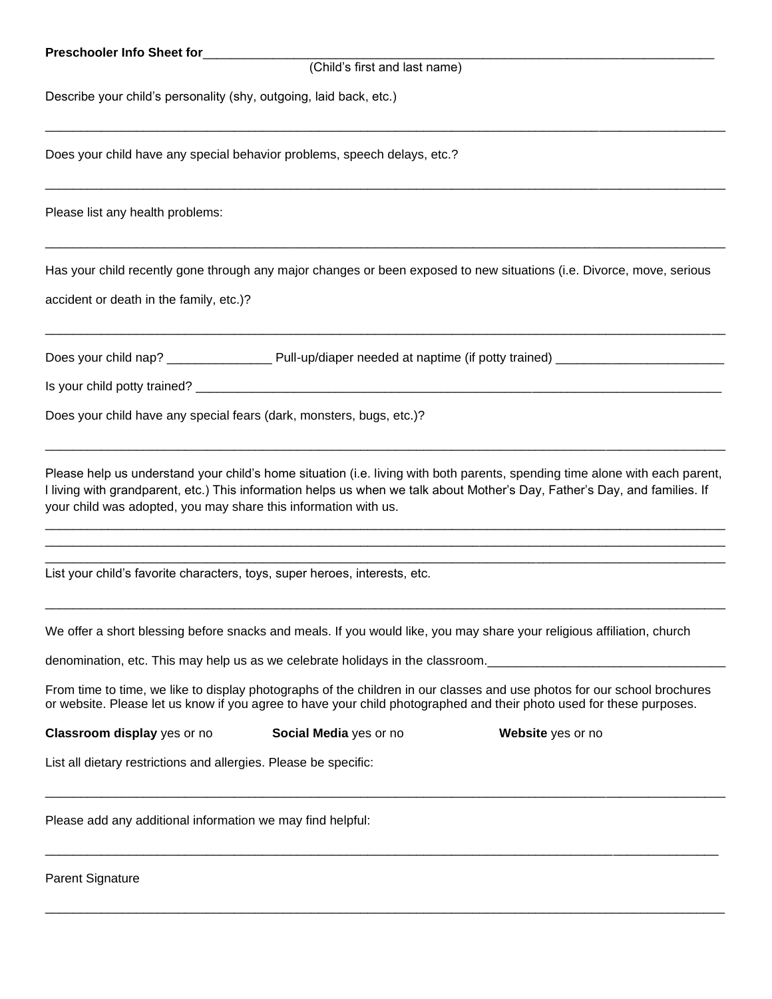| (Child's first and last name)<br>Describe your child's personality (shy, outgoing, laid back, etc.)<br>Does your child have any special behavior problems, speech delays, etc.?                                                                                                                                              |
|------------------------------------------------------------------------------------------------------------------------------------------------------------------------------------------------------------------------------------------------------------------------------------------------------------------------------|
|                                                                                                                                                                                                                                                                                                                              |
|                                                                                                                                                                                                                                                                                                                              |
|                                                                                                                                                                                                                                                                                                                              |
| Please list any health problems:                                                                                                                                                                                                                                                                                             |
| Has your child recently gone through any major changes or been exposed to new situations (i.e. Divorce, move, serious<br>accident or death in the family, etc.)?                                                                                                                                                             |
|                                                                                                                                                                                                                                                                                                                              |
|                                                                                                                                                                                                                                                                                                                              |
| Does your child have any special fears (dark, monsters, bugs, etc.)?                                                                                                                                                                                                                                                         |
| Please help us understand your child's home situation (i.e. living with both parents, spending time alone with each parent,<br>I living with grandparent, etc.) This information helps us when we talk about Mother's Day, Father's Day, and families. If<br>your child was adopted, you may share this information with us. |
| List your child's favorite characters, toys, super heroes, interests, etc.                                                                                                                                                                                                                                                   |
| We offer a short blessing before snacks and meals. If you would like, you may share your religious affiliation, church                                                                                                                                                                                                       |
|                                                                                                                                                                                                                                                                                                                              |
| From time to time, we like to display photographs of the children in our classes and use photos for our school brochures<br>or website. Please let us know if you agree to have your child photographed and their photo used for these purposes.                                                                             |
| Classroom display yes or no<br>Social Media yes or no<br>Website yes or no                                                                                                                                                                                                                                                   |
| List all dietary restrictions and allergies. Please be specific:                                                                                                                                                                                                                                                             |
| Please add any additional information we may find helpful:                                                                                                                                                                                                                                                                   |

 $\Box$ 

Parent Signature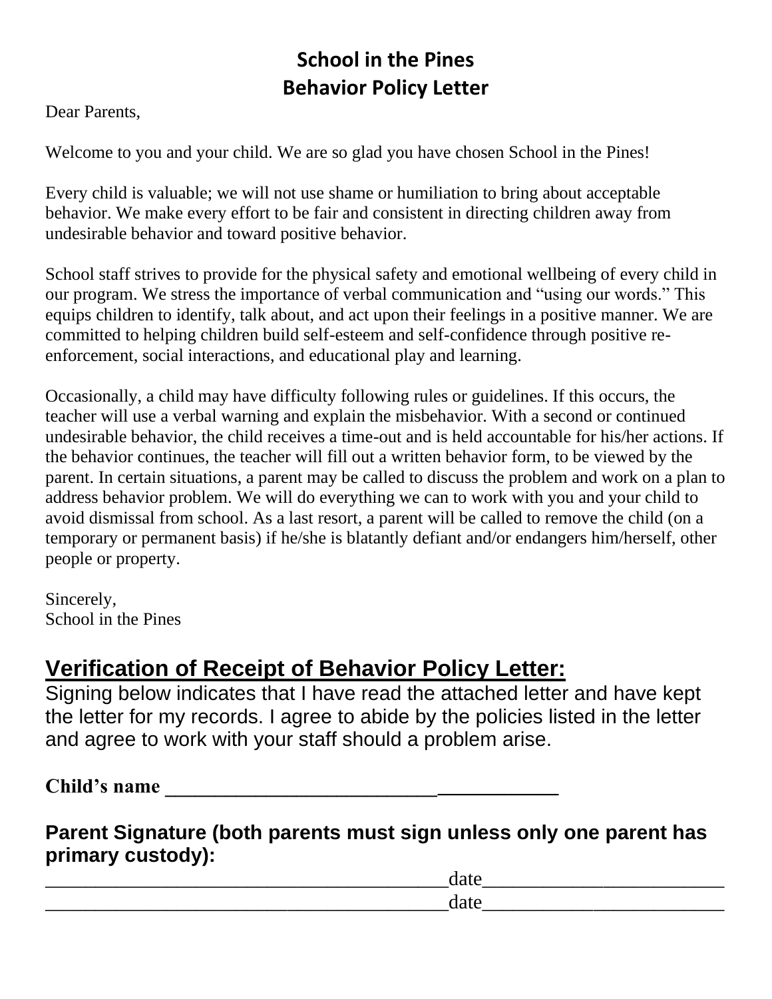## **School in the Pines Behavior Policy Letter**

Dear Parents,

Welcome to you and your child. We are so glad you have chosen School in the Pines!

Every child is valuable; we will not use shame or humiliation to bring about acceptable behavior. We make every effort to be fair and consistent in directing children away from undesirable behavior and toward positive behavior.

School staff strives to provide for the physical safety and emotional wellbeing of every child in our program. We stress the importance of verbal communication and "using our words." This equips children to identify, talk about, and act upon their feelings in a positive manner. We are committed to helping children build self-esteem and self-confidence through positive reenforcement, social interactions, and educational play and learning.

Occasionally, a child may have difficulty following rules or guidelines. If this occurs, the teacher will use a verbal warning and explain the misbehavior. With a second or continued undesirable behavior, the child receives a time-out and is held accountable for his/her actions. If the behavior continues, the teacher will fill out a written behavior form, to be viewed by the parent. In certain situations, a parent may be called to discuss the problem and work on a plan to address behavior problem. We will do everything we can to work with you and your child to avoid dismissal from school. As a last resort, a parent will be called to remove the child (on a temporary or permanent basis) if he/she is blatantly defiant and/or endangers him/herself, other people or property.

Sincerely, School in the Pines

# **Verification of Receipt of Behavior Policy Letter:**

Signing below indicates that I have read the attached letter and have kept the letter for my records. I agree to abide by the policies listed in the letter and agree to work with your staff should a problem arise.

**Child's name \_\_\_\_\_\_\_\_\_\_\_\_\_\_\_\_\_\_\_\_\_\_\_\_\_\_\_\_\_\_\_\_\_\_\_\_\_\_\_** 

### **Parent Signature (both parents must sign unless only one parent has primary custody):**

\_\_\_\_\_\_\_\_\_\_\_\_\_\_\_\_\_\_\_\_\_\_\_\_\_\_\_\_\_\_\_\_\_\_\_\_\_\_\_\_date\_\_\_\_\_\_\_\_\_\_\_\_\_\_\_\_\_\_\_\_\_\_\_\_ \_\_\_\_\_\_\_\_\_\_\_\_\_\_\_\_\_\_\_\_\_\_\_\_\_\_\_\_\_\_\_\_\_\_\_\_\_\_\_\_date\_\_\_\_\_\_\_\_\_\_\_\_\_\_\_\_\_\_\_\_\_\_\_\_